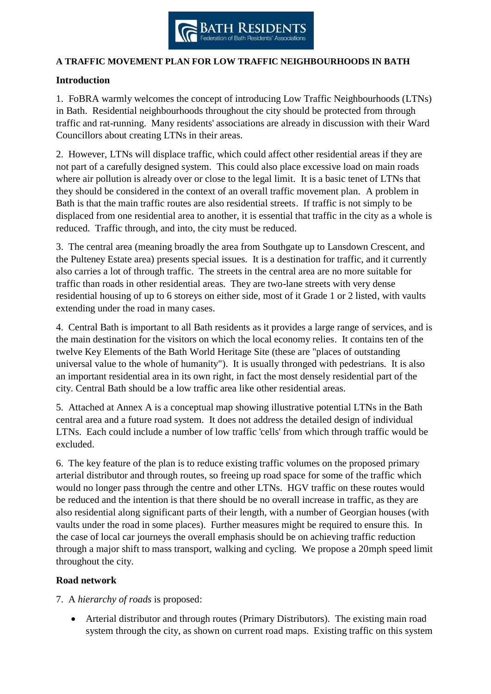

#### **A TRAFFIC MOVEMENT PLAN FOR LOW TRAFFIC NEIGHBOURHOODS IN BATH**

#### **Introduction**

1. FoBRA warmly welcomes the concept of introducing Low Traffic Neighbourhoods (LTNs) in Bath. Residential neighbourhoods throughout the city should be protected from through traffic and rat-running. Many residents' associations are already in discussion with their Ward Councillors about creating LTNs in their areas.

2. However, LTNs will displace traffic, which could affect other residential areas if they are not part of a carefully designed system. This could also place excessive load on main roads where air pollution is already over or close to the legal limit. It is a basic tenet of LTNs that they should be considered in the context of an overall traffic movement plan. A problem in Bath is that the main traffic routes are also residential streets. If traffic is not simply to be displaced from one residential area to another, it is essential that traffic in the city as a whole is reduced. Traffic through, and into, the city must be reduced.

3. The central area (meaning broadly the area from Southgate up to Lansdown Crescent, and the Pulteney Estate area) presents special issues. It is a destination for traffic, and it currently also carries a lot of through traffic. The streets in the central area are no more suitable for traffic than roads in other residential areas. They are two-lane streets with very dense residential housing of up to 6 storeys on either side, most of it Grade 1 or 2 listed, with vaults extending under the road in many cases.

4. Central Bath is important to all Bath residents as it provides a large range of services, and is the main destination for the visitors on which the local economy relies. It contains ten of the twelve Key Elements of the Bath World Heritage Site (these are "places of outstanding universal value to the whole of humanity"). It is usually thronged with pedestrians. It is also an important residential area in its own right, in fact the most densely residential part of the city. Central Bath should be a low traffic area like other residential areas.

5. Attached at Annex A is a conceptual map showing illustrative potential LTNs in the Bath central area and a future road system. It does not address the detailed design of individual LTNs. Each could include a number of low traffic 'cells' from which through traffic would be excluded.

6. The key feature of the plan is to reduce existing traffic volumes on the proposed primary arterial distributor and through routes, so freeing up road space for some of the traffic which would no longer pass through the centre and other LTNs. HGV traffic on these routes would be reduced and the intention is that there should be no overall increase in traffic, as they are also residential along significant parts of their length, with a number of Georgian houses (with vaults under the road in some places). Further measures might be required to ensure this. In the case of local car journeys the overall emphasis should be on achieving traffic reduction through a major shift to mass transport, walking and cycling. We propose a 20mph speed limit throughout the city.

## **Road network**

## 7. A *hierarchy of roads* is proposed:

 Arterial distributor and through routes (Primary Distributors). The existing main road system through the city, as shown on current road maps. Existing traffic on this system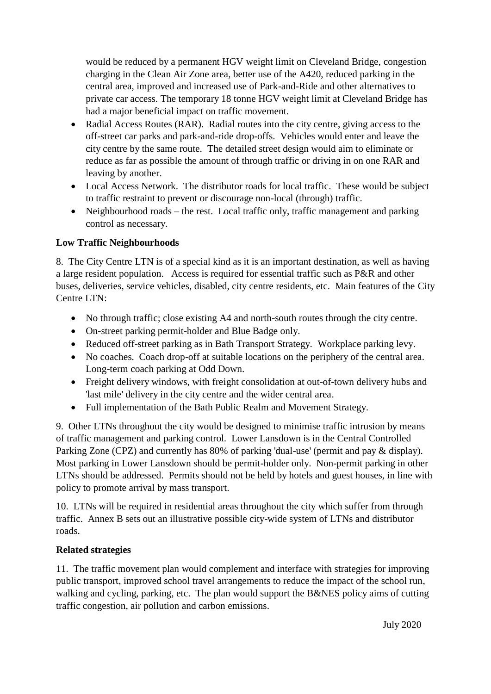would be reduced by a permanent HGV weight limit on Cleveland Bridge, congestion charging in the Clean Air Zone area, better use of the A420, reduced parking in the central area, improved and increased use of Park-and-Ride and other alternatives to private car access. The temporary 18 tonne HGV weight limit at Cleveland Bridge has had a major beneficial impact on traffic movement.

- Radial Access Routes (RAR). Radial routes into the city centre, giving access to the off-street car parks and park-and-ride drop-offs. Vehicles would enter and leave the city centre by the same route. The detailed street design would aim to eliminate or reduce as far as possible the amount of through traffic or driving in on one RAR and leaving by another.
- Local Access Network. The distributor roads for local traffic. These would be subject to traffic restraint to prevent or discourage non-local (through) traffic.
- Neighbourhood roads the rest. Local traffic only, traffic management and parking control as necessary.

# **Low Traffic Neighbourhoods**

8. The City Centre LTN is of a special kind as it is an important destination, as well as having a large resident population. Access is required for essential traffic such as P&R and other buses, deliveries, service vehicles, disabled, city centre residents, etc. Main features of the City Centre LTN:

- No through traffic; close existing A4 and north-south routes through the city centre.
- On-street parking permit-holder and Blue Badge only.
- Reduced off-street parking as in Bath Transport Strategy. Workplace parking levy.
- No coaches. Coach drop-off at suitable locations on the periphery of the central area. Long-term coach parking at Odd Down.
- Freight delivery windows, with freight consolidation at out-of-town delivery hubs and 'last mile' delivery in the city centre and the wider central area.
- Full implementation of the Bath Public Realm and Movement Strategy.

9. Other LTNs throughout the city would be designed to minimise traffic intrusion by means of traffic management and parking control. Lower Lansdown is in the Central Controlled Parking Zone (CPZ) and currently has 80% of parking 'dual-use' (permit and pay & display). Most parking in Lower Lansdown should be permit-holder only. Non-permit parking in other LTNs should be addressed. Permits should not be held by hotels and guest houses, in line with policy to promote arrival by mass transport.

10. LTNs will be required in residential areas throughout the city which suffer from through traffic. Annex B sets out an illustrative possible city-wide system of LTNs and distributor roads.

# **Related strategies**

11. The traffic movement plan would complement and interface with strategies for improving public transport, improved school travel arrangements to reduce the impact of the school run, walking and cycling, parking, etc. The plan would support the B&NES policy aims of cutting traffic congestion, air pollution and carbon emissions.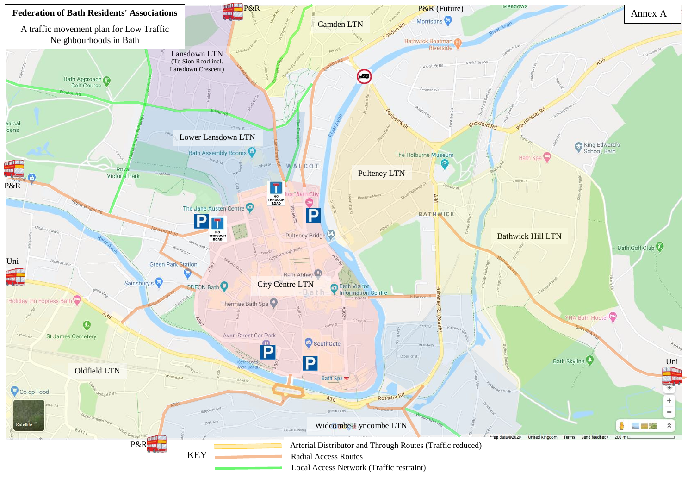